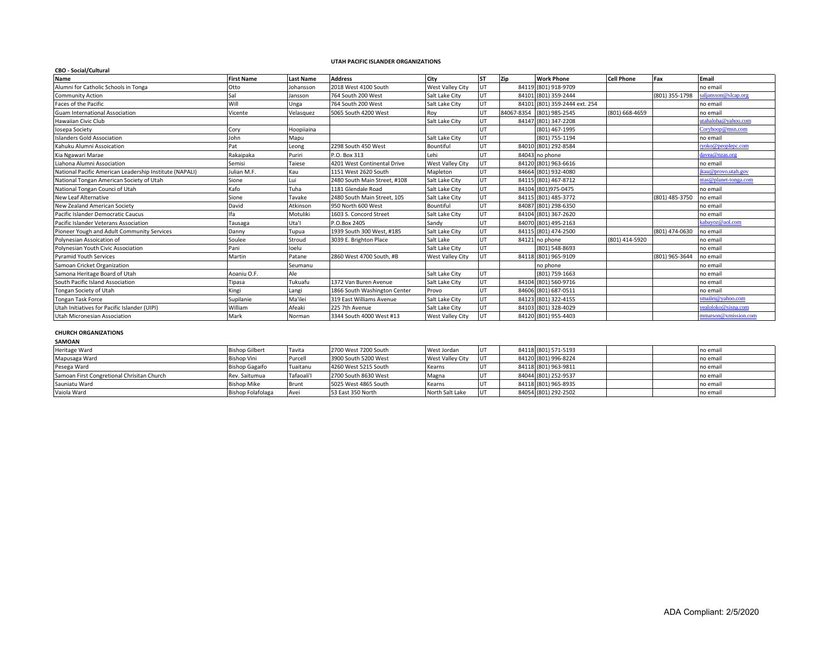# **UTAH PACIFIC ISLANDER ORGANIZATIONS**

| <b>CBO - Social/Cultural</b>                            |                   |                  |                              |                         |           |     |                               |                   |                |                       |
|---------------------------------------------------------|-------------------|------------------|------------------------------|-------------------------|-----------|-----|-------------------------------|-------------------|----------------|-----------------------|
| <b>Name</b>                                             | <b>First Name</b> | <b>Last Name</b> | <b>Address</b>               | City                    | <b>ST</b> | Zip | <b>Work Phone</b>             | <b>Cell Phone</b> | Fax            | Email                 |
| Alumni for Catholic Schools in Tonga                    | Otto              | Johansson        | 2018 West 4100 South         | <b>West Valley City</b> | UT        |     | 84119 (801) 918-9709          |                   |                | no email              |
| <b>Community Action</b>                                 | Sal               | Jansson          | 764 South 200 West           | Salt Lake City          | UT        |     | 84101 (801) 359-2444          |                   | (801) 355-1798 | aljansson@slcap.org   |
| Faces of the Pacific                                    | Will              | Jnga             | 764 South 200 West           | Salt Lake City          | UT        |     | 84101 (801) 359-2444 ext. 254 |                   |                | no email              |
| <b>Guam International Association</b>                   | Vicente           | Velasquez        | 5065 South 4200 West         | Roy                     | UT        |     | 84067-8354 (801) 985-2545     | (801) 668-4659    |                | no email              |
| Hawaiian Civic Club                                     |                   |                  |                              | Salt Lake City          | UT        |     | 84147 (801) 347-2208          |                   |                | utahaloha@yahoo.com   |
| Iosepa Society                                          | Cory              | Hoopiiaina       |                              |                         | UT        |     | (801) 467-1995                |                   |                | Coryhoop@msn.com      |
| <b>Islanders Gold Association</b>                       | John              | Mapu             |                              | Salt Lake City          | UT        |     | (801) 755-1194                |                   |                | no email              |
| Kahuku Alumni Assoication                               | Pat               | Leong            | 2298 South 450 West          | Bountiful               | UT        |     | 84010 (801) 292-8584          |                   |                | ryoko@peoplepc.com    |
| Kia Ngawari Marae                                       | Rakaipaka         | Puriri           | P.O. Box 313                 | Lehi                    | UT        |     | 84043 no phone                |                   |                | davea@nzas.org        |
| Liahona Alumni Association                              | Semisi            | Taiese           | 4201 West Continental Drive  | <b>West Valley City</b> | UT        |     | 84120 (801) 963-6616          |                   |                | no email              |
| National Pacific American Leadership Institute (NAPALI) | Julian M.F.       | Kau              | 1151 West 2620 South         | Mapleton                | UT        |     | 84664 (801) 932-4080          |                   |                | kau@provo.utah.gov    |
| National Tongan American Society of Utah                | Sione             | Lui              | 2480 South Main Street, #108 | Salt Lake City          | UT        |     | 84115 (801) 467-8712          |                   |                | ntas@planet-tonga.com |
| National Tongan Counci of Utah                          | Kafo              | Tuha             | 1181 Glendale Road           | Salt Lake City          | UT        |     | 84104 (801)975-0475           |                   |                | no email              |
| <b>New Leaf Alternative</b>                             | Sione             | Tavake           | 2480 South Main Street. 105  | Salt Lake City          | UT        |     | 84115 (801) 485-3772          |                   | (801) 485-3750 | no email              |
| New Zealand American Society                            | David             | Atkinson         | 950 North 600 West           | Bountiful               | UT        |     | 84087 (801) 298-6350          |                   |                | no email              |
| Pacific Islander Democratic Caucus                      | lfa               | Motuliki         | 1603 S. Concord Street       | Salt Lake City          | UT        |     | 84104 (801) 367-2620          |                   |                | no email              |
| Pacific Islander Veterans Association                   | Tausaga           | Uta'l            | P.O.Box 2405                 | Sandv                   | UT        |     | 84070 (801) 495-2163          |                   |                | kabayoz@aol.com       |
| Pioneer Yough and Adult Community Services              | Danny             | Tupua            | 1939 South 300 West, #185    | Salt Lake City          | UT        |     | 84115 (801) 474-2500          |                   | (801) 474-0630 | no email              |
| Polynesian Assoication of                               | Soulee            | Stroud           | 3039 E. Brighton Place       | Salt Lake               | UT        |     | 84121 no phone                | (801) 414-5920    |                | no email              |
| Polynesian Youth Civic Association                      | Pani              | loelu            |                              | Salt Lake City          | UT        |     | (801) 548-8693                |                   |                | no email              |
| <b>Pyramid Youth Services</b>                           | Martin            | Patane           | 2860 West 4700 South, #B     | <b>West Valley City</b> | UT        |     | 84118 (801) 965-9109          |                   | (801) 965-3644 | no email              |
| Samoan Cricket Organization                             |                   | Seumanu          |                              |                         |           |     | no phone                      |                   |                | no email              |
| Samona Heritage Board of Utah                           | Aoaniu O.F.       | Ale              |                              | Salt Lake City          | UT        |     | (801) 759-1663                |                   |                | no email              |
| South Pacific Island Association                        | Tipasa            | Tukuafu          | 1372 Van Buren Avenue        | Salt Lake City          | UT        |     | 84104 (801) 560-9716          |                   |                | no email              |
| Tongan Society of Utah                                  | Kingi             | Langi            | 1866 South Washington Center | Provo                   | UT        |     | 84606 (801) 687-0511          |                   |                | no email              |
| Tongan Task Force                                       | Supilanie         | Ma'ilei          | 319 East Williams Avenue     | Salt Lake City          | UT        |     | 84123 (801) 322-4155          |                   |                | smailei@vahoo.com     |
| Utah Initiatives for Pacific Islander (UIPI)            | William           | Afeaki           | 225 7th Avenue               | Salt Lake City          | UT        |     | 84103 (801) 328-4029          |                   |                | vealoloko@sisna.com   |
| Utah Micronesian Association                            | Mark              | Norman           | 3344 South 4000 West #13     | West Valley City        | UT        |     | 84120 (801) 955-4403          |                   |                | mmatson@xmission.com  |

### **CHURCH ORGANIZATIONS**

#### **SAMOAN**

| Heritage Ward                              | <b>Bishop Gilbert</b>    | Tavita     | 2700 West 7200 South | West Jordan      | lu1        | 84118 (801) 571-5193 |  | no email |
|--------------------------------------------|--------------------------|------------|----------------------|------------------|------------|----------------------|--|----------|
| Mapusaga Ward                              | Bishop Vini              | Purcell    | 3900 South 5200 West | West Valley City | <b>IUT</b> | 84120 (801) 996-8224 |  | no email |
| Pesega Ward                                | <b>Bishop Gagaifo</b>    | Tuaitanu   | 4260 West 5215 South | Kearns           | lut        | 84118 (801) 963-9811 |  | no email |
| Samoan First Congretional Chrisitan Church | Rev. Saitumua            | Tafaoali'l | 2700 South 8630 West | Magna            | <b>IUT</b> | 84044 (801) 252-9537 |  | no email |
| Sauniatu Ward                              | Bishop Mike              | Brunt      | 5025 West 4865 South | Kearns           | <b>IUT</b> | 84118 (801) 965-8935 |  | no email |
| Vaiola Ward                                | <b>Bishop Folafolaga</b> | Avei       | 53 East 350 North    | North Salt Lake  | l UT       | 84054 (801) 292-2502 |  | no email |